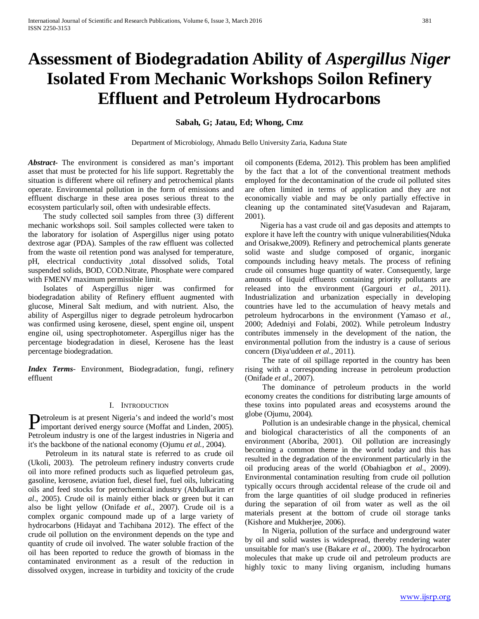# **Assessment of Biodegradation Ability of** *Aspergillus Niger*  **Isolated From Mechanic Workshops Soilon Refinery Effluent and Petroleum Hydrocarbons**

# **Sabah, G; Jatau, Ed; Whong, Cmz**

Department of Microbiology, Ahmadu Bello University Zaria, Kaduna State

*Abstract***-** The environment is considered as man's important asset that must be protected for his life support. Regrettably the situation is different where oil refinery and petrochemical plants operate. Environmental pollution in the form of emissions and effluent discharge in these area poses serious threat to the ecosystem particularly soil, often with undesirable effects.

 The study collected soil samples from three (3) different mechanic workshops soil. Soil samples collected were taken to the laboratory for isolation of Aspergillus niger using potato dextrose agar (PDA). Samples of the raw effluent was collected from the waste oil retention pond was analysed for temperature, pH, electrical conductivity ,total dissolved solids, Total suspended solids, BOD, COD.Nitrate, Phosphate were compared with FMENV maximum permissible limit.

 Isolates of Aspergillus niger was confirmed for biodegradation ability of Refinery effluent augmented with glucose, Mineral Salt medium, and with nutrient. Also, the ability of Aspergillus niger to degrade petroleum hydrocarbon was confirmed using kerosene, diesel, spent engine oil, unspent engine oil, using spectrophotometer. Aspergillus niger has the percentage biodegradation in diesel, Kerosene has the least percentage biodegradation.

*Index Terms*- Environment, Biodegradation, fungi, refinery effluent

#### I. INTRODUCTION

etroleum is at present Nigeria's and indeed the world's most **D**etroleum is at present Nigeria's and indeed the world's most<br>important derived energy source (Moffat and Linden, 2005). Petroleum industry is one of the largest industries in Nigeria and it's the backbone of the national economy (Ojumu *et al.,* 2004).

 Petroleum in its natural state is referred to as crude oil (Ukoli, 2003). The petroleum refinery industry converts crude oil into more refined products such as liquefied petroleum gas, gasoline, kerosene, aviation fuel, diesel fuel, fuel oils, lubricating oils and feed stocks for petrochemical industry (Abdulkarim *et al*., 2005). Crude oil is mainly either black or green but it can also be light yellow (Onifade *et al*., 2007). Crude oil is a complex organic compound made up of a large variety of hydrocarbons (Hidayat and Tachibana 2012). The effect of the crude oil pollution on the environment depends on the type and quantity of crude oil involved. The water soluble fraction of the oil has been reported to reduce the growth of biomass in the contaminated environment as a result of the reduction in dissolved oxygen, increase in turbidity and toxicity of the crude oil components (Edema, 2012). This problem has been amplified by the fact that a lot of the conventional treatment methods employed for the decontamination of the crude oil polluted sites are often limited in terms of application and they are not economically viable and may be only partially effective in cleaning up the contaminated site(Vasudevan and Rajaram, 2001).

 Nigeria has a vast crude oil and gas deposits and attempts to explore it have left the country with unique vulnerabilities(Nduka and Orisakwe,2009). Refinery and petrochemical plants generate solid waste and sludge composed of organic, inorganic compounds including heavy metals. The process of refining crude oil consumes huge quantity of water. Consequently, large amounts of liquid effluents containing priority pollutants are released into the environment (Gargouri *et al*., 2011). Industrialization and urbanization especially in developing countries have led to the accumulation of heavy metals and petroleum hydrocarbons in the environment (Yamaso *et al.,* 2000; Adedniyi and Folabi, 2002). While petroleum Industry contributes immensely in the development of the nation, the environmental pollution from the industry is a cause of serious concern (Diya'uddeen *et al.,* 2011).

 The rate of oil spillage reported in the country has been rising with a corresponding increase in petroleum production (Onifade *et al*., 2007).

 The dominance of petroleum products in the world economy creates the conditions for distributing large amounts of these toxins into populated areas and ecosystems around the globe (Ojumu, 2004).

 Pollution is an undesirable change in the physical, chemical and biological characteristics of all the components of an environment (Aboriba, 2001). Oil pollution are increasingly becoming a common theme in the world today and this has resulted in the degradation of the environment particularly in the oil producing areas of the world (Obahiagbon *et al*., 2009). Environmental contamination resulting from crude oil pollution typically occurs through accidental release of the crude oil and from the large quantities of oil sludge produced in refineries during the separation of oil from water as well as the oil materials present at the bottom of crude oil storage tanks (Kishore and Mukherjee, 2006).

 In Nigeria, pollution of the surface and underground water by oil and solid wastes is widespread, thereby rendering water unsuitable for man's use (Bakare *et al*., 2000). The hydrocarbon molecules that make up crude oil and petroleum products are highly toxic to many living organism, including humans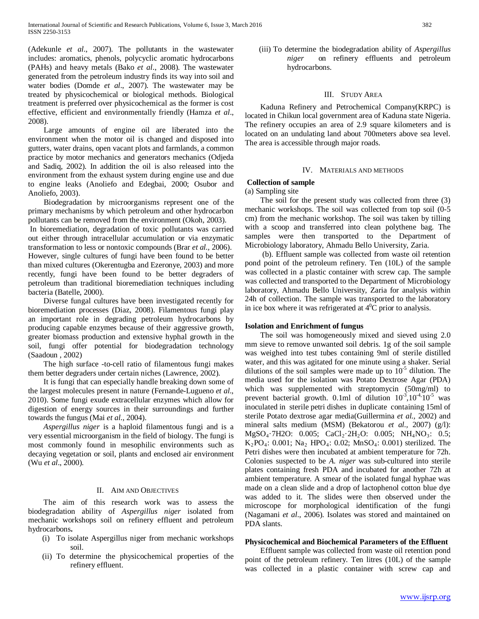(Adekunle *et al*., 2007). The pollutants in the wastewater includes: aromatics, phenols, polycyclic aromatic hydrocarbons (PAHs) and heavy metals (Bako *et al*., 2008). The wastewater generated from the petroleum industry finds its way into soil and water bodies (Domde *et al*., 2007). The wastewater may be treated by physicochemical or biological methods. Biological treatment is preferred over physicochemical as the former is cost effective, efficient and environmentally friendly (Hamza *et al*., 2008).

 Large amounts of engine oil are liberated into the environment when the motor oil is changed and disposed into gutters, water drains, open vacant plots and farmlands, a common practice by motor mechanics and generators mechanics (Odjeda and Sadiq, 2002). In addition the oil is also released into the environment from the exhaust system during engine use and due to engine leaks (Anoliefo and Edegbai, 2000; Osubor and Anoliefo, 2003).

 Biodegradation by microorganisms represent one of the primary mechanisms by which petroleum and other hydrocarbon pollutants can be removed from the environment (Okoh, 2003).

In bioremediation, degradation of toxic pollutants was carried out either through intracellular accumulation or via enzymatic transformation to less or nontoxic compounds (Brar *et al.,* 2006). However, single cultures of fungi have been found to be better than mixed cultures (Okerentugba and Ezeronye, 2003) and more recently, fungi have been found to be better degraders of petroleum than traditional bioremediation techniques including bacteria (Batelle, 2000).

 Diverse fungal cultures have been investigated recently for bioremediation processes (Diaz, 2008). Filamentous fungi play an important role in degrading petroleum hydrocarbons by producing capable enzymes because of their aggressive growth, greater biomass production and extensive hyphal growth in the soil, fungi offer potential for biodegradation technology (Saadoun , 2002)

 The high surface -to-cell ratio of filamentous fungi makes them better degraders under certain niches (Lawrence, 2002).

 It is fungi that can especially handle breaking down some of the largest molecules present in nature (Fernande-Lugueno *et al*., 2010). Some fungi exude extracellular enzymes which allow for digestion of energy sources in their surroundings and further towards the fungus (Mai *et al*., 2004).

 *Aspergillus niger* is a haploid filamentous fungi and is a very essential microorganism in the field of biology. The fungi is most commonly found in mesophilic environments such as decaying vegetation or soil, plants and enclosed air environment (Wu *et al*., 2000).

## II. AIM AND OBJECTIVES

 The aim of this research work was to assess the biodegradation ability of *Aspergillus niger* isolated from mechanic workshops soil on refinery effluent and petroleum hydrocarbons**.**

- (i) To isolate Aspergillus niger from mechanic workshops soil.
- (ii) To determine the physicochemical properties of the refinery effluent.

(iii) To determine the biodegradation ability of *Aspergillus niger* on refinery effluents and petroleum hydrocarbons.

#### III. STUDY AREA

 Kaduna Refinery and Petrochemical Company(KRPC) is located in Chikun local government area of Kaduna state Nigeria. The refinery occupies an area of 2.9 square kilometers and is located on an undulating land about 700meters above sea level. The area is accessible through major roads.

#### IV. MATERIALS AND METHODS

#### **Collection of sample**

(a) Sampling site

 The soil for the present study was collected from three (3) mechanic workshops. The soil was collected from top soil (0-5 cm) from the mechanic workshop. The soil was taken by tilling with a scoop and transferred into clean polythene bag. The samples were then transported to the Department of Microbiology laboratory, Ahmadu Bello University, Zaria.

 (b). Effluent sample was collected from waste oil retention pond point of the petroleum refinery. Ten (10L) of the sample was collected in a plastic container with screw cap. The sample was collected and transported to the Department of Microbiology laboratory, Ahmadu Bello University, Zaria for analysis within 24h of collection. The sample was transported to the laboratory in ice box where it was refrigerated at  $4^{\circ}$ C prior to analysis.

#### **Isolation and Enrichment of fungus**

 The soil was homogeneously mixed and sieved using 2.0 mm sieve to remove unwanted soil debris. 1g of the soil sample was weighed into test tubes containing 9ml of sterile distilled water, and this was agitated for one minute using a shaker. Serial dilutions of the soil samples were made up to  $10^{-5}$  dilution. The media used for the isolation was Potato Dextrose Agar (PDA) which was supplemented with streptomycin (50mg/ml) to prevent bacterial growth. 0.1ml of dilution  $10^{-3}$ ,  $10^{-4}$ ,  $10^{-5}$  was inoculated in sterile petri dishes in duplicate containing 15ml of sterile Potato dextrose agar media(Guillermina *et al.,* 2002) and mineral salts medium (MSM) (Bekatorou *et al.,* 2007) (g/l): MgSO<sub>4</sub>·7H2O: 0.005; CaCl<sub>2</sub>·2H<sub>2</sub>O: 0.005; NH<sub>4</sub>NO<sub>3</sub>: 0.5;  $K_2PO_4$ : 0.001; Na<sub>2</sub> HPO<sub>4</sub>: 0.02; MnSO<sub>4</sub>: 0.001) sterilized. The Petri dishes were then incubated at ambient temperature for 72h. Colonies suspected to be *A. niger* was sub-cultured into sterile plates containing fresh PDA and incubated for another 72h at ambient temperature. A smear of the isolated fungal hyphae was made on a clean slide and a drop of lactophenol cotton blue dye was added to it. The slides were then observed under the microscope for morphological identification of the fungi (Nagamani *et al*., 2006). Isolates was stored and maintained on PDA slants.

#### **Physicochemical and Biochemical Parameters of the Effluent**

 Effluent sample was collected from waste oil retention pond point of the petroleum refinery. Ten litres (10L) of the sample was collected in a plastic container with screw cap and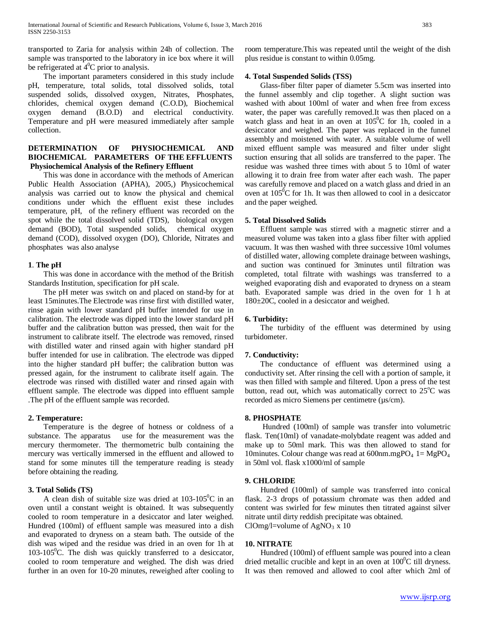transported to Zaria for analysis within 24h of collection. The sample was transported to the laboratory in ice box where it will be refrigerated at  $4^{\circ}$ C prior to analysis.

 The important parameters considered in this study include pH, temperature, total solids, total dissolved solids, total suspended solids, dissolved oxygen, Nitrates, Phosphates, chlorides, chemical oxygen demand (C.O.D), Biochemical oxygen demand (B.O.D) and electrical conductivity. Temperature and pH were measured immediately after sample collection.

# **DETERMINATION OF PHYSIOCHEMICAL AND BIOCHEMICAL PARAMETERS OF THE EFFLUENTS Physiochemical Analysis of the Refinery Effluent**

 This was done in accordance with the methods of American Public Health Association (APHA), 2005,) Physicochemical analysis was carried out to know the physical and chemical conditions under which the effluent exist these includes temperature, pH, of the refinery effluent was recorded on the spot while the total dissolved solid (TDS), biological oxygen demand (BOD), Total suspended solids, chemical oxygen demand (COD), dissolved oxygen (DO), Chloride, Nitrates and phosphates was also analyse

## **1**. **The pH**

 This was done in accordance with the method of the British Standards Institution, specification for pH scale.

 The pH meter was switch on and placed on stand-by for at least 15minutes.The Electrode was rinse first with distilled water, rinse again with lower standard pH buffer intended for use in calibration. The electrode was dipped into the lower standard pH buffer and the calibration button was pressed, then wait for the instrument to calibrate itself. The electrode was removed, rinsed with distilled water and rinsed again with higher standard pH buffer intended for use in calibration. The electrode was dipped into the higher standard pH buffer; the calibration button was pressed again, for the instrument to calibrate itself again. The electrode was rinsed with distilled water and rinsed again with effluent sample. The electrode was dipped into effluent sample .The pH of the effluent sample was recorded.

## **2. Temperature:**

 Temperature is the degree of hotness or coldness of a substance. The apparatus use for the measurement was the mercury thermometer. The thermometric bulb containing the mercury was vertically immersed in the effluent and allowed to stand for some minutes till the temperature reading is steady before obtaining the reading.

# **3. Total Solids (TS)**

A clean dish of suitable size was dried at  $103-105^{\circ}$ C in an oven until a constant weight is obtained. It was subsequently cooled to room temperature in a desiccator and later weighed. Hundred (100ml) of effluent sample was measured into a dish and evaporated to dryness on a steam bath. The outside of the dish was wiped and the residue was dried in an oven for 1h at  $103-105$ <sup>o</sup>C. The dish was quickly transferred to a desiccator, cooled to room temperature and weighed. The dish was dried further in an oven for 10-20 minutes, reweighed after cooling to

room temperature.This was repeated until the weight of the dish plus residue is constant to within 0.05mg.

# **4. Total Suspended Solids (TSS)**

 Glass-fiber filter paper of diameter 5.5cm was inserted into the funnel assembly and clip together. A slight suction was washed with about 100ml of water and when free from excess water, the paper was carefully removed.It was then placed on a watch glass and heat in an oven at  $105^{\circ}$ C for 1h, cooled in a desiccator and weighed. The paper was replaced in the funnel assembly and moistened with water. A suitable volume of well mixed effluent sample was measured and filter under slight suction ensuring that all solids are transferred to the paper. The residue was washed three times with about 5 to 10ml of water allowing it to drain free from water after each wash. The paper was carefully remove and placed on a watch glass and dried in an oven at  $105^{\circ}$ C for 1h. It was then allowed to cool in a desiccator and the paper weighed.

## **5. Total Dissolved Solids**

 Effluent sample was stirred with a magnetic stirrer and a measured volume was taken into a glass fiber filter with applied vacuum. It was then washed with three successive 10ml volumes of distilled water, allowing complete drainage between washings, and suction was continued for 3minutes until filtration was completed, total filtrate with washings was transferred to a weighed evaporating dish and evaporated to dryness on a steam bath. Evaporated sample was dried in the oven for 1 h at 180±20C, cooled in a desiccator and weighed.

## **6. Turbidity:**

 The turbidity of the effluent was determined by using turbidometer.

## **7. Conductivity:**

 The conductance of effluent was determined using a conductivity set. After rinsing the cell with a portion of sample, it was then filled with sample and filtered. Upon a press of the test button, read out, which was automatically correct to 25°C was recorded as micro Siemens per centimetre (µs/cm).

# **8. PHOSPHATE**

 Hundred (100ml) of sample was transfer into volumetric flask. Ten(10ml) of vanadate-molybdate reagent was added and make up to 50ml mark. This was then allowed to stand for 10minutes. Colour change was read at  $600$ nm.mg $PO_4$  1= Mg $PO_4$ in 50ml vol. flask x1000/ml of sample

## **9. CHLORIDE**

 Hundred (100ml) of sample was transferred into conical flask. 2-3 drops of potassium chromate was then added and content was swirled for few minutes then titrated against silver nitrate until dirty reddish precipitate was obtained. ClOmg/l=volume of  $AgNO<sub>3</sub> x 10$ 

## **10. NITRATE**

 Hundred (100ml) of effluent sample was poured into a clean dried metallic crucible and kept in an oven at  $100^{\circ}$ C till dryness. It was then removed and allowed to cool after which 2ml of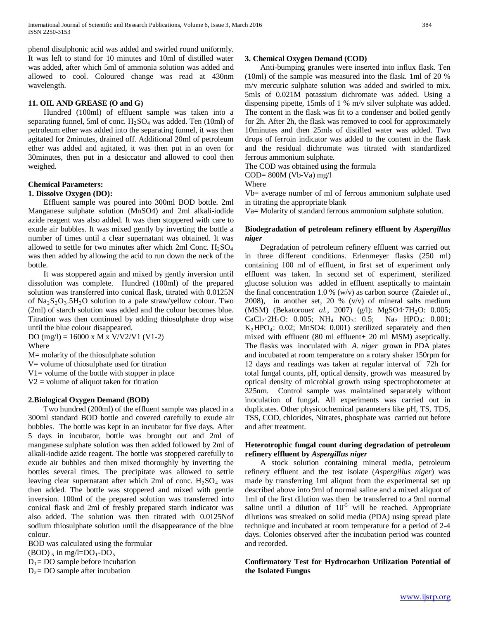phenol disulphonic acid was added and swirled round uniformly. It was left to stand for 10 minutes and 10ml of distilled water was added, after which 5ml of ammonia solution was added and allowed to cool. Coloured change was read at 430nm wavelength.

# **11. OIL AND GREASE (O and G)**

 Hundred (100ml) of effluent sample was taken into a separating funnel, 5ml of conc.  $H_2SO_4$  was added. Ten (10ml) of petroleum ether was added into the separating funnel, it was then agitated for 2minutes, drained off. Additional 20ml of petroleum ether was added and agitated, it was then put in an oven for 30minutes, then put in a desiccator and allowed to cool then weighed.

# **Chemical Parameters:**

#### **1. Dissolve Oxygen (DO):**

 Effluent sample was poured into 300ml BOD bottle. 2ml Manganese sulphate solution (MnSO4) and 2ml alkali-iodide azide reagent was also added. It was then stoppered with care to exude air bubbles. It was mixed gently by inverting the bottle a number of times until a clear supernatant was obtained. It was allowed to settle for two minutes after which 2ml Conc.  $H_2SO_4$ was then added by allowing the acid to run down the neck of the bottle.

 It was stoppered again and mixed by gently inversion until dissolution was complete. Hundred (100ml) of the prepared solution was transferred into conical flask, titrated with 0.0125N of  $Na<sub>2</sub>S<sub>2</sub>O<sub>3</sub>$ .5H<sub>2</sub>O solution to a pale straw/yellow colour. Two (2ml) of starch solution was added and the colour becomes blue. Titration was then continued by adding thiosulphate drop wise until the blue colour disappeared.

DO (mg/l) = 16000 x M x V/V2/V1 (V1-2) Where

M= molarity of the thiosulphate solution

V= volume of thiosulphate used for titration

 $V1$  = volume of the bottle with stopper in place

V2 = volume of aliquot taken for titration

## **2.Biological Oxygen Demand (BOD)**

 Two hundred (200ml) of the effluent sample was placed in a 300ml standard BOD bottle and covered carefully to exude air bubbles. The bottle was kept in an incubator for five days. After 5 days in incubator, bottle was brought out and 2ml of manganese sulphate solution was then added followed by 2ml of alkali-iodide azide reagent. The bottle was stoppered carefully to exude air bubbles and then mixed thoroughly by inverting the bottles several times. The precipitate was allowed to settle leaving clear supernatant after which 2ml of conc.  $H_2SO_4$  was then added. The bottle was stoppered and mixed with gentle inversion. 100ml of the prepared solution was transferred into conical flask and 2ml of freshly prepared starch indicator was also added. The solution was then titrated with 0.0125Nof sodium thiosulphate solution until the disappearance of the blue colour.

BOD was calculated using the formular  $(BOD)$   $\varsigma$  in mg/l=DO<sub>1</sub>-DO<sub>5</sub>  $D_1$ = DO sample before incubation  $D_2$ = DO sample after incubation

#### **3. Chemical Oxygen Demand (COD)**

 Anti-bumping granules were inserted into influx flask. Ten (10ml) of the sample was measured into the flask. 1ml of 20 % m/v mercuric sulphate solution was added and swirled to mix. 5mls of 0.021M potassium dichromate was added. Using a dispensing pipette, 15mls of 1 % m/v silver sulphate was added. The content in the flask was fit to a condenser and boiled gently for 2h. After 2h, the flask was removed to cool for approximately 10minutes and then 25mls of distilled water was added. Two drops of ferroin indicator was added to the content in the flask and the residual dichromate was titrated with standardized ferrous ammonium sulphate.

The COD was obtained using the formula  $COD = 800M$  (Vb-Va) mg/l

Where

Vb= average number of ml of ferrous ammonium sulphate used in titrating the appropriate blank

Va= Molarity of standard ferrous ammonium sulphate solution.

# **Biodegradation of petroleum refinery effluent by** *Aspergillus niger*

 Degradation of petroleum refinery effluent was carried out in three different conditions. Erlenmeyer flasks (250 ml) containing 100 ml of effluent, in first set of experiment only effluent was taken. In second set of experiment, sterilized glucose solution was added in effluent aseptically to maintain the final concentration 1.0 % (w/v) as carbon source (Zaied*et al*., 2008), in another set, 20 % (v/v) of mineral salts medium (MSM) (Bekatorouet al., 2007) (g/l): MgSO4·7H<sub>2</sub>O: 0.005;  $CaCl_2·2H_2O$ : 0.005; NH<sub>4</sub> NO<sub>3</sub>: 0.5; Na<sub>2</sub> HPO<sub>4</sub>: 0.001;  $K_2HPO_4$ : 0.02; MnSO4: 0.001) sterilized separately and then mixed with effluent (80 ml effluent+ 20 ml MSM) aseptically. The flasks was inoculated with *A. niger* grown in PDA plates and incubated at room temperature on a rotary shaker 150rpm for 12 days and readings was taken at regular interval of 72h for total fungal counts, pH, optical density, growth was measured by optical density of microbial growth using spectrophotometer at 325nm. Control sample was maintained separately without inoculation of fungal. All experiments was carried out in duplicates. Other physicochemical parameters like pH, TS, TDS, TSS, COD, chlorides, Nitrates, phosphate was carried out before and after treatment.

## **Heterotrophic fungal count during degradation of petroleum refinery effluent by** *Aspergillus niger*

 A stock solution containing mineral media, petroleum refinery effluent and the test isolate (*Aspergillus niger*) was made by transferring 1ml aliquot from the experimental set up described above into 9ml of normal saline and a mixed aliquot of 1ml of the first dilution was then be transferred to a 9ml normal saline until a dilution of  $10^{-5}$  will be reached. Appropriate dilutions was streaked on solid media (PDA) using spread plate technique and incubated at room temperature for a period of 2-4 days. Colonies observed after the incubation period was counted and recorded.

**Confirmatory Test for Hydrocarbon Utilization Potential of the Isolated Fungus**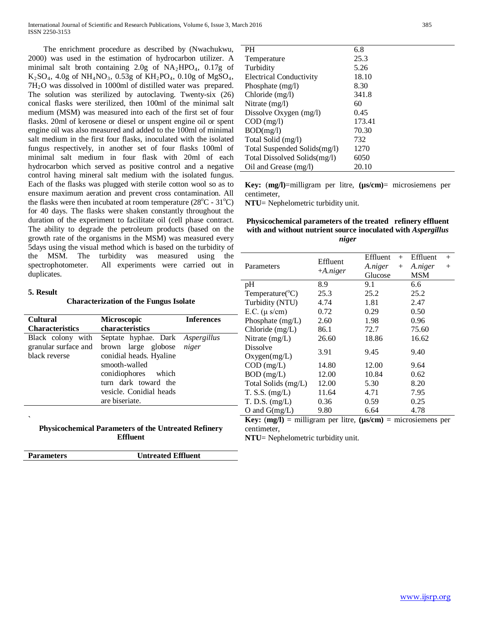The enrichment procedure as described by (Nwachukwu, 2000) was used in the estimation of hydrocarbon utilizer. A minimal salt broth containing 2.0g of  $NA<sub>2</sub>HPO<sub>4</sub>$ , 0.17g of  $K_2SO_4$ , 4.0g of NH<sub>4</sub>NO<sub>3</sub>, 0.53g of KH<sub>2</sub>PO<sub>4</sub>, 0.10g of MgSO<sub>4</sub>, 7H2O was dissolved in 1000ml of distilled water was prepared. The solution was sterilized by autoclaving. Twenty-six (26) conical flasks were sterilized, then 100ml of the minimal salt medium (MSM) was measured into each of the first set of four flasks. 20ml of kerosene or diesel or unspent engine oil or spent engine oil was also measured and added to the 100ml of minimal salt medium in the first four flasks, inoculated with the isolated fungus respectively, in another set of four flasks 100ml of minimal salt medium in four flask with 20ml of each hydrocarbon which served as positive control and a negative control having mineral salt medium with the isolated fungus. Each of the flasks was plugged with sterile cotton wool so as to ensure maximum aeration and prevent cross contamination. All the flasks were then incubated at room temperature  $(28^{\circ}C - 31^{\circ}C)$ for 40 days. The flasks were shaken constantly throughout the duration of the experiment to facilitate oil (cell phase contract. The ability to degrade the petroleum products (based on the growth rate of the organisms in the MSM) was measured every 5days using the visual method which is based on the turbidity of the MSM. The turbidity was measured using the spectrophotometer. All experiments were carried out in duplicates.

#### **5. Result**

**Characterization of the Fungus Isolate**

| <b>Microscopic</b><br>characteristics                                                                                                                                                                 | <b>Inferences</b> |
|-------------------------------------------------------------------------------------------------------------------------------------------------------------------------------------------------------|-------------------|
| Septate hyphae. Dark Aspergillus<br>brown large globose niger<br>conidial heads. Hyaline<br>smooth-walled<br>conidiophores which<br>turn dark toward the<br>vesicle. Conidial heads<br>are biseriate. |                   |
|                                                                                                                                                                                                       |                   |

**Physicochemical Parameters of the Untreated Refinery Effluent**

**Parameters Untreated Effluent**

| PH.                            | 6.8    |
|--------------------------------|--------|
| Temperature                    | 25.3   |
| Turbidity                      | 5.26   |
| <b>Electrical Conductivity</b> | 18.10  |
| Phosphate $(mg/l)$             | 8.30   |
| Chloride (mg/l)                | 341.8  |
| Nitrate $(mg/l)$               | 60     |
| Dissolve Oxygen $(mg/l)$       | 0.45   |
| $COD$ (mg/l)                   | 173.41 |
| BOD(mg/l)                      | 70.30  |
| Total Solid (mg/l)             | 732    |
| Total Suspended Solids(mg/l)   | 1270   |
| Total Dissolved Solids(mg/l)   | 6050   |
| Oil and Grease (mg/l)          | 20.10  |

**Key:** (**mg/l)**=milligram per litre, **(µs/cm)**= microsiemens per centimeter,

**NTU**= Nephelometric turbidity unit.

## **Physicochemical parameters of the treated refinery effluent with and without nutrient source inoculated with** *Aspergillus niger*

|                                                                                                              | Effluent   | Effluent<br>$^{+}$ | Effluent<br>$^{+}$ |  |  |
|--------------------------------------------------------------------------------------------------------------|------------|--------------------|--------------------|--|--|
| Parameters                                                                                                   |            | A.niger<br>$^{+}$  | A.niger<br>$^{+}$  |  |  |
|                                                                                                              | $+A.niger$ | Glucose            | MSM                |  |  |
| pH                                                                                                           | 8.9        | 9.1                | 6.6                |  |  |
| Temperature( ${}^{\circ}C$ )                                                                                 | 25.3       | 25.2               | 25.2               |  |  |
| Turbidity (NTU)                                                                                              | 4.74       | 1.81               | 2.47               |  |  |
| E.C. $(\mu s/cm)$                                                                                            | 0.72       | 0.29               | 0.50               |  |  |
| Phosphate $(mg/L)$                                                                                           | 2.60       | 1.98               | 0.96               |  |  |
| Chloride (mg/L)                                                                                              | 86.1       | 72.7               | 75.60              |  |  |
| Nitrate $(mg/L)$                                                                                             | 26.60      | 18.86              | 16.62              |  |  |
| Dissolve                                                                                                     |            |                    |                    |  |  |
| Oxygen(mg/L)                                                                                                 | 3.91       | 9.45               | 9.40               |  |  |
| $COD$ (mg/L)                                                                                                 | 14.80      | 12.00              | 9.64               |  |  |
| BOD (mg/L)                                                                                                   | 12.00      | 10.84              | 0.62               |  |  |
| Total Solids (mg/L)                                                                                          | 12.00      | 5.30               | 8.20               |  |  |
| T. S.S. (mg/L)                                                                                               | 11.64      | 4.71               | 7.95               |  |  |
| T. D.S. (mg/L)                                                                                               | 0.36       | 0.59               | 0.25               |  |  |
| O and $G(mg/L)$                                                                                              | 9.80       | 6.64               | 4.78               |  |  |
| $2112$ and $22$<br>$1:$ $\ldots$<br>$\mathbf{V}$ and $(\mathbf{m} \cdot \mathbf{v})$<br>$($ --- $($ ---- $)$ |            |                    |                    |  |  |

**Key:** (**mg/l)** = milligram per litre, **(µs/cm)** = microsiemens per centimeter,

**NTU**= Nephelometric turbidity unit.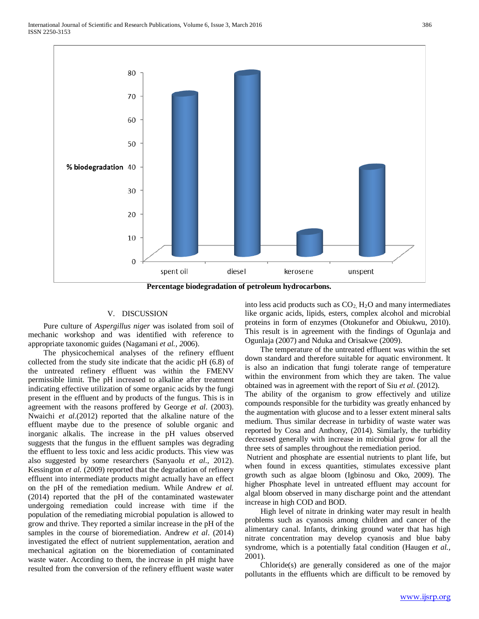

**Percentage biodegradation of petroleum hydrocarbons.**

#### V. DISCUSSION

 Pure culture of *Aspergillus niger* was isolated from soil of mechanic workshop and was identified with reference to appropriate taxonomic guides (Nagamani *et al., 2*006).

 The physicochemical analyses of the refinery effluent collected from the study site indicate that the acidic pH (6.8) of the untreated refinery effluent was within the FMENV permissible limit. The pH increased to alkaline after treatment indicating effective utilization of some organic acids by the fungi present in the effluent and by products of the fungus. This is in agreement with the reasons proffered by George *et al*. (2003). Nwaichi *et al.*(2012) reported that the alkaline nature of the effluent maybe due to the presence of soluble organic and inorganic alkalis. The increase in the pH values observed suggests that the fungus in the effluent samples was degrading the effluent to less toxic and less acidic products. This view was also suggested by some researchers (Sanyaolu *et al*., 2012). Kessington *et al*. (2009) reported that the degradation of refinery effluent into intermediate products might actually have an effect on the pH of the remediation medium. While Andrew *et al.* (2014) reported that the pH of the contaminated wastewater undergoing remediation could increase with time if the population of the remediating microbial population is allowed to grow and thrive. They reported a similar increase in the pH of the samples in the course of bioremediation. Andrew *et al*. (2014) investigated the effect of nutrient supplementation, aeration and mechanical agitation on the bioremediation of contaminated waste water. According to them, the increase in pH might have resulted from the conversion of the refinery effluent waste water

into less acid products such as  $CO<sub>2</sub>$ ,  $H<sub>2</sub>O$  and many intermediates like organic acids, lipids, esters, complex alcohol and microbial proteins in form of enzymes (Otokunefor and Obiukwu, 2010). This result is in agreement with the findings of Ogunlaja and Ogunlaja (2007) and Nduka and Orisakwe (2009).

 The temperature of the untreated effluent was within the set down standard and therefore suitable for aquatic environment. It is also an indication that fungi tolerate range of temperature within the environment from which they are taken. The value obtained was in agreement with the report of Siu *et al*. (2012).

The ability of the organism to grow effectively and utilize compounds responsible for the turbidity was greatly enhanced by the augmentation with glucose and to a lesser extent mineral salts medium. Thus similar decrease in turbidity of waste water was reported by Cosa and Anthony, (2014). Similarly, the turbidity decreased generally with increase in microbial grow for all the three sets of samples throughout the remediation period.

Nutrient and phosphate are essential nutrients to plant life, but when found in excess quantities, stimulates excessive plant growth such as algae bloom (Igbinosu and Oko, 2009). The higher Phosphate level in untreated effluent may account for algal bloom observed in many discharge point and the attendant increase in high COD and BOD.

 High level of nitrate in drinking water may result in health problems such as cyanosis among children and cancer of the alimentary canal. Infants, drinking ground water that has high nitrate concentration may develop cyanosis and blue baby syndrome, which is a potentially fatal condition (Haugen *et al.,* 2001).

 Chloride(s) are generally considered as one of the major pollutants in the effluents which are difficult to be removed by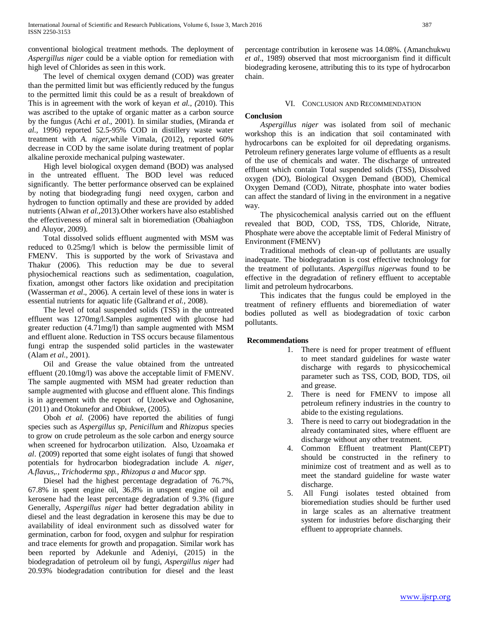conventional biological treatment methods. The deployment of *Aspergillus niger* could be a viable option for remediation with high level of Chlorides as seen in this work.

 The level of chemical oxygen demand (COD) was greater than the permitted limit but was efficiently reduced by the fungus to the permitted limit this could be as a result of breakdown of This is in agreement with the work of keyan *et al., (*2010). This was ascribed to the uptake of organic matter as a carbon source by the fungus (Achi *et al*., 2001). In similar studies, (Miranda *et al.,* 1996) reported 52.5-95% COD in distillery waste water treatment with *A. niger,*while Vimala, (2012), reported 60% decrease in COD by the same isolate during treatment of poplar alkaline peroxide mechanical pulping wastewater.

 High level biological oxygen demand (BOD) was analysed in the untreated effluent. The BOD level was reduced significantly. The better performance observed can be explained by noting that biodegrading fungi need oxygen, carbon and hydrogen to function optimally and these are provided by added nutrients (Alwan *et al.,*2013).Other workers have also established the effectiveness of mineral salt in bioremediation (Obahiagbon and Aluyor, 2009).

 Total dissolved solids effluent augmented with MSM was reduced to 0.25mg/l which is below the permissible limit of FMENV. This is supported by the work of Srivastava and Thakur (2006). This reduction may be due to several physiochemical reactions such as sedimentation, coagulation, fixation, amongst other factors like oxidation and precipitation (Wasserman *et al*., 2006). A certain level of these ions in water is essential nutrients for aquatic life (Galbrand *et al.,* 2008).

 The level of total suspended solids (TSS) in the untreated effluent was 1270mg/l.Samples augmented with glucose had greater reduction (4.71mg/l) than sample augmented with MSM and effluent alone. Reduction in TSS occurs because filamentous fungi entrap the suspended solid particles in the wastewater (Alam *et al*., 2001).

 Oil and Grease the value obtained from the untreated effluent (20.10mg/l) was above the acceptable limit of FMENV. The sample augmented with MSM had greater reduction than sample augmented with glucose and effluent alone. This findings is in agreement with the report of Uzoekwe and Oghosanine, (2011) and Otokunefor and Obiukwe, (2005).

Oboh *et al.* (2006) have reported the abilities of fungi species such as *Aspergillus sp*, *Penicillum* and *Rhizopus* species to grow on crude petroleum as the sole carbon and energy source when screened for hydrocarbon utilization. Also, Uzoamaka *et al*. (2009) reported that some eight isolates of fungi that showed potentials for hydrocarbon biodegradation include *A. niger*, *A.flavus,., Trichoderma spp., Rhizopus a* and *Mucor spp.* 

 Diesel had the highest percentage degradation of 76.7%, 67.8% in spent engine oil, 36.8% in unspent engine oil and kerosene had the least percentage degradation of 9.3% (figure Generally, *Aspergillus niger* had better degradation ability in diesel and the least degradation in kerosene this may be due to availability of ideal environment such as dissolved water for germination, carbon for food, oxygen and sulphur for respiration and trace elements for growth and propagation. Similar work has been reported by Adekunle and Adeniyi, (2015) in the biodegradation of petroleum oil by fungi, *Aspergillus niger* had 20.93% biodegradation contribution for diesel and the least

percentage contribution in kerosene was 14.08%. (Amanchukwu *et al*., 1989) observed that most microorganism find it difficult biodegrading kerosene, attributing this to its type of hydrocarbon chain.

# VI. CONCLUSION AND RECOMMENDATION

# **Conclusion**

 *Aspergillus niger* was isolated from soil of mechanic workshop this is an indication that soil contaminated with hydrocarbons can be exploited for oil depredating organisms. Petroleum refinery generates large volume of effluents as a result of the use of chemicals and water. The discharge of untreated effluent which contain Total suspended solids (TSS), Dissolved oxygen (DO), Biological Oxygen Demand (BOD), Chemical Oxygen Demand (COD), Nitrate, phosphate into water bodies can affect the standard of living in the environment in a negative way.

 The physicochemical analysis carried out on the effluent revealed that BOD, COD, TSS, TDS, Chloride, Nitrate, Phosphate were above the acceptable limit of Federal Ministry of Environment (FMENV)

 Traditional methods of clean-up of pollutants are usually inadequate. The biodegradation is cost effective technology for the treatment of pollutants. *Aspergillus niger*was found to be effective in the degradation of refinery effluent to acceptable limit and petroleum hydrocarbons.

 This indicates that the fungus could be employed in the treatment of refinery effluents and bioremediation of water bodies polluted as well as biodegradation of toxic carbon pollutants.

## **Recommendations**

- 1. There is need for proper treatment of effluent to meet standard guidelines for waste water discharge with regards to physicochemical parameter such as TSS, COD, BOD, TDS, oil and grease.
- 2. There is need for FMENV to impose all petroleum refinery industries in the country to abide to the existing regulations.
- 3. There is need to carry out biodegradation in the already contaminated sites, where effluent are discharge without any other treatment.
- 4. Common Effluent treatment Plant(CEPT) should be constructed in the refinery to minimize cost of treatment and as well as to meet the standard guideline for waste water discharge.
- 5. All Fungi isolates tested obtained from bioremediation studies should be further used in large scales as an alternative treatment system for industries before discharging their effluent to appropriate channels.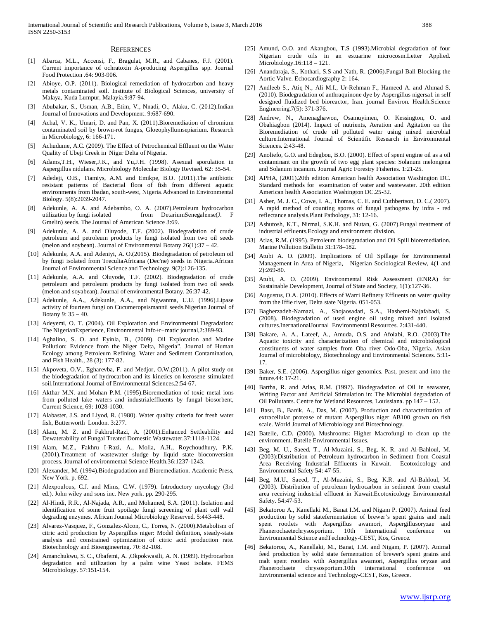#### **REFERENCES**

- [1] Abarca, M.L., Accensi, F., Bragulat, M.R., and Cabanes, F.J. (2001). Current importance of ochratoxin A-producing Aspergillus spp. Journal Food Protection .64: 903-906.
- [2] Abioye, O.P. (2011). Biological remediation of hydrocarbon and heavy metals contaminated soil. Institute of Biological Sciences, university of Malaya, Kuda Lumpur, Malayia.9:87-94.
- [3] Abubakar, S., Usman, A.B., Etim, V., Nnadi, O., Alaku, C. (2012).Indian Journal of Innovations and Development. 9:687-690.
- [4] Achal, V. K., Umari, D. and Pan, X. (2011).Bioremediation of chromium contaminated soil by brown-rot fungus, Gloeophyllumsepiarium. Research in Microbiology, 6: 166-171.
- [5] Achudume, A.C. (2009). The Effect of Petrochemical Effluent on the Water Quality of Ubeji Creek in Niger Delta of Nigeria.
- Adams,T.H., Wieser,J.K., and Yu,J.H. (1998). Asexual sporulation in Aspergillus nidulans. Microbiology Molecular Biology Revised. 62: 35-54.
- [7] Adedeji, O.B., Tiamiys, A.M. and Emikpe, B.O. (2011).The antibiotic resistant patterns of Bacterial flora of fish from different aquatic environments from Ibadan, south-west, Nigeria.Advanced in Environmental Biology. 5(8):2039-2047.
- [8] Adekunle, A. A. and Adebambo, O. A. (2007).Petroleum hydrocarbon from DetariumSenegalense(J. F Gmelin) seeds. The Journal of American Science 3:69.
- [9] Adekunle, A. A. and Oluyode, T.F. (2002). Biodegradation of crude petroleum and petroleum products by fungi isolated from two oil seeds (melon and soybean). Journal of Environmental Botany 26(1):37 – 42.
- [10] Adekunle, A.A. and Adeniyi, A. O.(2015). Biodegradation of petroleum oil by fungi isolated from TreculiaAfricana (Dec'ne) seeds in Nigeria.African Journal of Environmental Science and Technology. 9(2):126-135.
- [11] Adekunle, A.A. and Oluyode, T.F. (2002). Biodegradation of crude petroleum and petroleum products by fungi isolated from two oil seeds (melon and soyabean). Journal of environmental Botany. 26:37-42.
- [12] Adekunle, A.A., Adekunle, A.A., and Ngwanma, U.U. (1996).Lipase activity of fourteen fungi on Cucumeropsismannii seeds.Nigerian Journal of Botany 9: 35 – 40.
- [13] Adeyemi, O. T. (2004). Oil Exploration and Environmental Degradation: The NigerianExperience, Environmental Info+r+matic journal,2:389-93.
- [14] Aghalino, S. O. and Eyinla, B., (2009). Oil Exploration and Marine Pollution: Evidence from the Niger Delta, Nigeria", Journal of Human Ecology among Petroleum Refining, Water and Sediment Contamination, and Fish Health., 28 (3): 177-82.
- [15] Akpoveta, O.V., Egharevba, F. and Medjor, O.W.(2011). A pilot study on the biodegradation of hydrocarbon and its kinetics on kerosene stimulated soil.International Journal of Environmental Sciences.2:54-67.
- [16] Akthar M.N. and Mohan P.M. (1995). Bioremediation of toxic metal ions from polluted lake waters and industrialeffluents by fungal biosorbent, Current Science, 69: 1028-1030.
- [17] Alabaster, J.S. and Llyod, R. (1980). Water quality criteria for fresh water fish, Butterworth London. 3:277.
- [18] Alam, M. Z. and Fakhrul-Razi, A. (2001).Enhanced Settleability and Dewaterability of Fungal Treated Domestic Wastewater.37:1118-1124.
- [19] Alam, M.Z., Fakhru I-Razi, A., Molla, A.H., Roychoudhury, P.K. (2001).Treatment of wastewater sludge by liquid state bioconversion process. Journal of environmental Science Health.36:1237-1243.
- [20] Alexander, M. (1994).Biodegradation and Bioremediation. Academic Press, New York. p. 692.
- [21] Alexpoulous, C.J. and Mims, C.W. (1979). Introductory mycology (3rd ed.). John wiley and sons inc. New york. pp. 290-295.
- [22] Al-Hindi, R.R., Al-Najada, A.R., and Mohamed, S.A. (2011). Isolation and identification of some fruit spoilage fungi screening of plant cell wall degrading enzymes. African Journal Microbiology Reserved. 5:443-448.
- [23] Alvarez-Vasquez, F., Gonzalez-Alcon, C., Torres, N. (2000).Metabolism of citric acid production by Aspergillus niger: Model definition, steady-state analysis and constrained optimization of citric acid production rate. Biotechnology and Bioengineering. 70: 82-108.
- [24] Amanchukwu, S. C., Obafemi, A. ,Okpokwasili, A. N. (1989). Hydrocarbon degradation and utilization by a palm wine Yeast isolate. FEMS Microbiology. 57:151-154.
- [25] Amund, O.O. and Akangbou, T.S (1993). Microbial degradation of four Nigerian crude oils in an estuarine microcosm.Letter Applied. Microbiology.16:118 – 121.
- [26] Anandaraja, S., Kothari, S.S and Nath, R. (2006).Fungal Ball Blocking the Aortic Valve. Echocardiography 2: 164.
- [27] Andleeb S., Atiq N., Ali M.I., Ur-Rehman F., Hameed A. and Ahmad S. (2010). Biodegradation of anthraquinone dye by Aspergillus nigersa1 in self designed fluidized bed bioreactor, Iran. journal Environ. Health.Science Engineering.7(5): 371-376.
- [28] Andrew, N., Amenaghawon, Osamuyimen, O. Kessington, O. and Obahiagbon (2014). Impact of nutrients, Aeration and Agitation on the Bioremediation of crude oil polluted water using mixed microbial culture.International Journal of Scientific Research in Environmental Sciences. 2:43-48.
- [29] Anoliefo, G.O. and Edegbou, B.O. (2000). Effect of spent engine oil as a oil contaminant on the growth of two egg plant species: Solanum melongena and Solanum incanum. Journal Agric Forestry Fisheries. 1:21-25.
- [30] APHA, (2001).20th edition American health Association Washington DC. Standard methods for examination of water and wastewater. 20th edition American health Association Washington DC.25-32.
- [31] Asher, M. J. C., Cowe, I. A., Thomas, C. E. and Cuthbertson, D. C.( 2007). A rapid method of counting spores of fungal pathogens by infra - red reflectance analysis.Plant Pathology, 31: 12-16.
- [32] Ashutosh, K.T., Nirmal, S.K.H. and Nutan, G. (2007).Fungal treatment of industrial effluents.Ecology and environment division.
- [33] Atlas, R.M. (1995). Petroleum biodegradation and Oil Spill bioremediation. Marine Pollution Bulletin 31:178–182.
- [34] Atubi A. O. (2009). Implications of Oil Spillage for Environmental Management in Area of Nigeria, Nigerian Sociological Review, 4(1 and 2):269-80.
- [35] Atubi, A. O. (2009). Environmental Risk Assessment (ENRA) for Sustainable Development, Journal of State and Society, 1(1):127-36.
- [36] Augustus, O.A. (2010). Effects of Warri Refinery Effluents on water quality from the Iffie river, Delta state Nigeria. 051-053.
- [37] Bagherzadeh-Namazi, A., Shojaosadati, S.A., Hashemi-Najafabadi, S. (2008). Biodegradation of used engine oil using mixed and isolated cultures.InernationalJournal Environmental Resources. 2:431-440.
- [38] Bakare, A. A., Lateef, A., Amuda, O.S. and Afolabi, R.O. (2003). The Aquatic toxicity and characterization of chemical and microbiological constituents of water samples from Oba river Odo-Oba, Nigeria. Asian Journal of microbiology, Biotechnology and Environmental Sciences. 5:11- 17.
- [39] Baker, S.E. (2006). Aspergillus niger genomics. Past, present and into the future.44: 17-21.
- [40] Bartha, R. and Atlas, R.M. (1997). Biodegradation of Oil in seawater, Writing Factor and Artificial Stimulation in: The Microbial degradation of Oil Pollutants. Centre for Wetland Resources, Louissiana. pp 147 – 152.
- [41] Basu, B., Banik, A., Das, M. (2007). Production and characterization of extracellular protease of mutant Aspergillus niger AB100 grown on fish scale. World Journal of Microbiology and Biotechnology.
- [42] Batelle, C.D. (2000). Mushrooms: Higher Macrofungi to clean up the environment. Batelle Environmental Issues.
- [43] Beg, M. U., Saeed, T., Al-Muzaini, S., Beg, K. R. and Al-Bahloul, M. (2003):Distribution of Petroleum hydrocarbon in Sediment from Coastal Area Receiving Industrial Effluents in Kuwait. Ecotoxicology and Environmental Safety 54: 47-55.
- [44] Beg, M.U., Saeed, T., Al-Muzaini, S., Beg, K.R. and Al-Bahloul, M. (2003). Distribution of petroleum hydrocarbon in sediment from coastal area receiving industrial effluent in Kuwait.Ecotoxicology Environmental Safety. 54:47-53.
- [45] Bekatorou A., Kanellaki M., Banat I.M. and Nigam P. (2007). Animal feed production by solid statefermentation of brewer's spent grains and malt spent rootlets with Aspergillus awamori, Aspergillusoryzae and Phanerochaetechrysosporium. 10th International conference on Environmental Science andTechnology-CEST, Kos, Greece.
- [46] Bekatorou, A., Kanellaki, M., Banat, I.M. and Nigam, P. (2007). Animal feed production by solid state fermentation of brewer's spent grains and malt spent rootlets with Aspergillus awamori, Aspergillus oryzae and Phanerochaete chrysosporium.10th international conference on Environmental science and Technology-CEST, Kos, Greece.